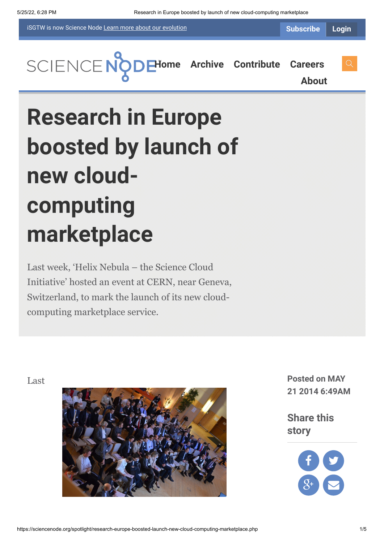iSGTW is now Science Node [Learn more about](https://sciencenode.org/about/index.php#history) our evolution

**[H](https://sciencenode.org/index.php)[ome](https://sciencenode.org/) [Archive](https://sciencenode.org/archive/index.php) [Contribute](https://sciencenode.org/contribute/index.php) [Careers](https://sciencenode.org/careers/index.php)**

**[About](https://sciencenode.org/about/index.php)**

# **Research in Europe boosted by launch of new cloudcomputing marketplace**

Last week, 'Helix Nebula – the Science Cloud Initiative' hosted an event at CERN, near Geneva, Switzerland, to mark the launch of its new cloudcomputing marketplace service.



**21 2014 6:49AM**

**Share this story**

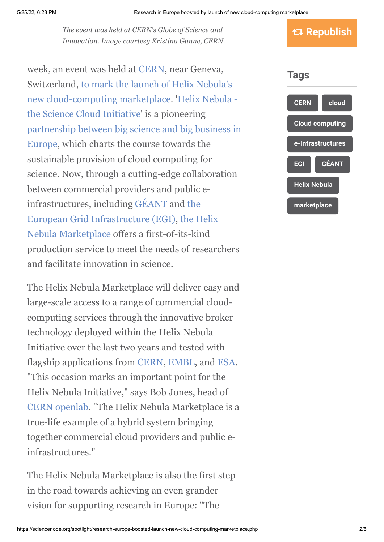*The event was held at CERN's Globe of Science and Innovation. Image courtesy Kristina Gunne, CERN.*

week, an event was held at [CERN](http://www.cern.ch/), near Geneva, [Switzerland, to mark the launch of Helix Nebula's](http://www.helix-nebula.eu/media/press-releases/european-providers-support-new-cloud-computing-marketplace-science-building-the.html) [new cloud-computing marketplace. 'Helix Nebula](http://www.helix-nebula.eu/)  the Science Cloud Initiative' is a pioneering [partnership between big science and big business in](http://www.helix-nebula.eu/about-us/helix-nebula-partners) Europe, which charts the course towards the sustainable provision of cloud computing for science. Now, through a cutting-edge collaboration between commercial providers and public e[infrastructures, including](http://www.egi.eu/) [GÉAN](http://www.geant.net/Pages/default.aspx)[T and the](http://www.egi.eu/) [European Grid Infrastructure \(EGI\), the Helix](http://www.hnx.helix-nebula.eu/) Nebula Marketplace offers a first-of-its-kind production service to meet the needs of researchers and facilitate innovation in science.

The Helix Nebula Marketplace will deliver easy and large-scale access to a range of commercial cloudcomputing services through the innovative broker technology deployed within the Helix Nebula Initiative over the last two years and tested with flagship applications from [CERN,](http://home.web.cern.ch/) [EMBL](http://www.embl.de/), and [ESA.](http://www.esa.int/ESA) "This occasion marks an important point for the Helix Nebula Initiative," says Bob Jones, head of [CERN openlab](http://openlab.web.cern.ch/). "The Helix Nebula Marketplace is a true-life example of a hybrid system bringing together commercial cloud providers and public einfrastructures."

The Helix Nebula Marketplace is also the first step in the road towards achieving an even grander vision for supporting research in Europe: "The



 **Republish**

**[marketplace](https://sciencenode.org/tag/?tag=marketplace)**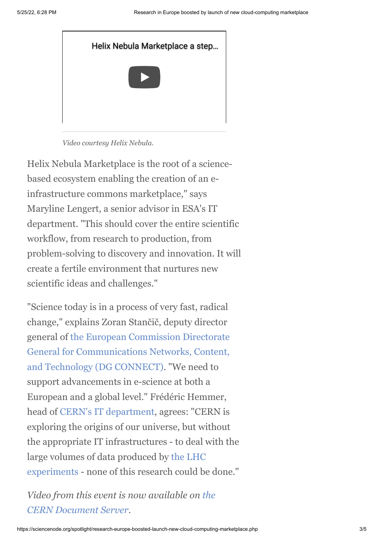

*Video courtesy Helix Nebula.*

Helix Nebula Marketplace is the root of a sciencebased ecosystem enabling the creation of an einfrastructure commons marketplace," says Maryline Lengert, a senior advisor in ESA's IT department. "This should cover the entire scientific workflow, from research to production, from problem-solving to discovery and innovation. It will create a fertile environment that nurtures new scientific ideas and challenges."

"Science today is in a process of very fast, radical change," explains Zoran Stančič, deputy director [general of the European Commission Directorate](http://ec.europa.eu/dgs/connect/en/content/dg-connect) General for Communications Networks, Content, and Technology (DG CONNECT). "We need to support advancements in e-science at both a European and a global level." Frédéric Hemmer, head of [CERN's IT department,](http://information-technology.web.cern.ch/) agrees: "CERN is exploring the origins of our universe, but without the appropriate IT infrastructures - to deal with the [large volumes of data produced by the LHC](http://home.web.cern.ch/about/experiments) experiments - none of this research could be done."

*[Video from this event is now available on the](http://cds.cern.ch/search?f=490__a&p=Helix%20Nebula%20-%20The%20Science%20Cloud%3A%20From%20Cloud-Active%20to%20Cloud-Productive) CERN Document Server.*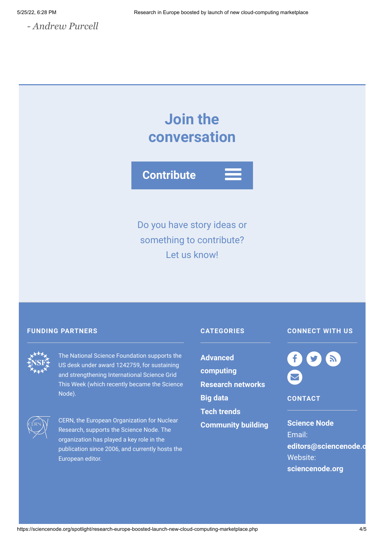## **Join the conversation**



Do you have story ideas or something to contribute? Let us know!

#### **FUNDING PARTNERS CATEGORIES**



The National Science Foundation supports the US desk under award 1242759, for sustaining and strengthening International Science Grid This Week (which recently became the Science Node).



CERN, the European Organization for Nuclear Research, supports the Science Node. The organization has played a key role in the publication since 2006, and currently hosts the European editor.

**Advanced [computing](https://sciencenode.org/archive/?year=2015&category=Advanced%20computing) [Research networks](https://sciencenode.org/archive/?year=2015&category=Advanced%20computing&category=Research%20networks) [Big data](https://sciencenode.org/archive/?year=2015&category=Advanced%20computing&category=Research%20networks&category=Big%20data) [Tech trends](https://sciencenode.org/archive/?year=2015&category=Advanced%20computing&category=Research%20networks&category=Big%20data&category=Tech%20trends) [Community building](https://sciencenode.org/archive/?year=2015&category=Advanced%20computing&category=Research%20networks&category=Big%20data&category=Tech%20trends&category=Community%20building)**

### **CONNECT WITH US**



**CONTACT**

**Science Node** Email: **[editors@sciencenode.o](mailto:edit%6F%72s@s%63%69encenode.%6F%72%67)** Website: **[sciencenode.org](https://sciencenode.org/)**